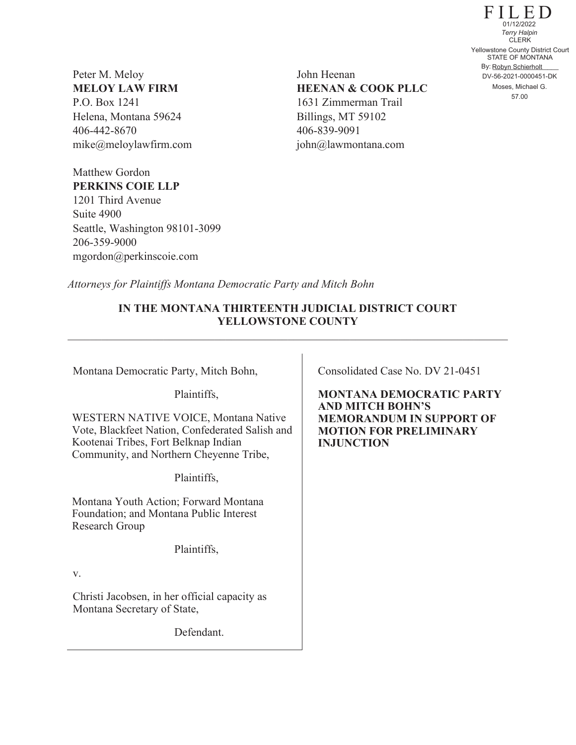Peter M. Meloy **MELOY LAW FIRM**  P.O. Box 1241 Helena, Montana 59624 406-442-8670 mike@meloylawfirm.com

Matthew Gordon

Suite 4900

206-359-9000

**PERKINS COIE LLP** 1201 Third Avenue

Seattle, Washington 98101-3099

mgordon@perkinscoie.com

John Heenan **HEENAN & COOK PLLC** 1631 Zimmerman Trail Billings, MT 59102 406-839-9091 john@lawmontana.com

FILED STATE OF MONTANA By: Robyn Schierholt CLERK 57.00 Yellowstone County District Court DV-56-2021-0000451-DK 01/12/2022 *Terry Halpin* Moses, Michael G.

*Attorneys for Plaintiffs Montana Democratic Party and Mitch Bohn*

# **IN THE MONTANA THIRTEENTH JUDICIAL DISTRICT COURT YELLOWSTONE COUNTY**

Montana Democratic Party, Mitch Bohn,

Plaintiffs,

WESTERN NATIVE VOICE, Montana Native Vote, Blackfeet Nation, Confederated Salish and Kootenai Tribes, Fort Belknap Indian Community, and Northern Cheyenne Tribe,

Plaintiffs,

Montana Youth Action; Forward Montana Foundation; and Montana Public Interest Research Group

Plaintiffs,

v.

Christi Jacobsen, in her official capacity as Montana Secretary of State,

Defendant.

Consolidated Case No. DV 21-0451

**MONTANA DEMOCRATIC PARTY AND MITCH BOHN'S MEMORANDUM IN SUPPORT OF MOTION FOR PRELIMINARY INJUNCTION**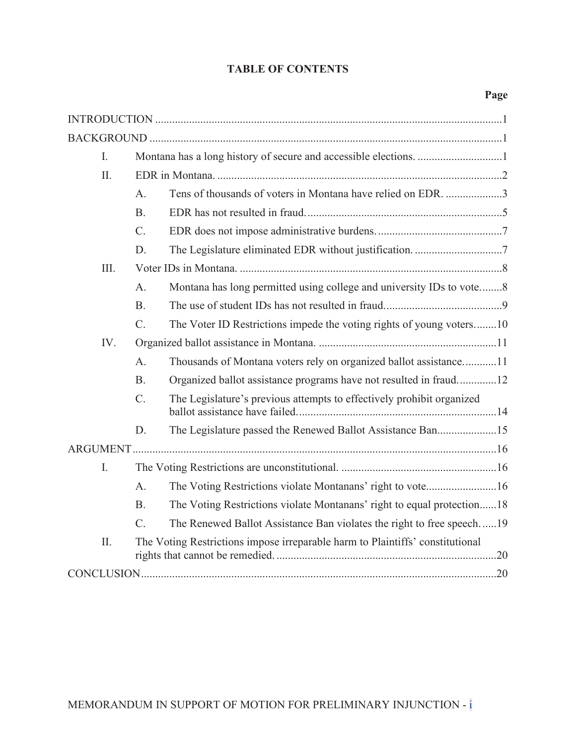# **TABLE OF CONTENTS**

| I.   |                  |                                                                               |  |  |
|------|------------------|-------------------------------------------------------------------------------|--|--|
| II.  |                  |                                                                               |  |  |
|      | A.               | Tens of thousands of voters in Montana have relied on EDR. 3                  |  |  |
|      | <b>B.</b>        |                                                                               |  |  |
|      | $C$ .            |                                                                               |  |  |
|      | D.               |                                                                               |  |  |
| III. |                  |                                                                               |  |  |
|      | A.               | Montana has long permitted using college and university IDs to vote8          |  |  |
|      | <b>B.</b>        |                                                                               |  |  |
|      | C.               | The Voter ID Restrictions impede the voting rights of young voters10          |  |  |
| IV.  |                  |                                                                               |  |  |
|      | A.               | Thousands of Montana voters rely on organized ballot assistance11             |  |  |
|      | <b>B.</b>        | Organized ballot assistance programs have not resulted in fraud12             |  |  |
|      | $\overline{C}$ . | The Legislature's previous attempts to effectively prohibit organized         |  |  |
|      | D.               | The Legislature passed the Renewed Ballot Assistance Ban15                    |  |  |
|      |                  |                                                                               |  |  |
| I.   |                  |                                                                               |  |  |
|      | A.               | The Voting Restrictions violate Montanans' right to vote16                    |  |  |
|      | <b>B.</b>        | The Voting Restrictions violate Montanans' right to equal protection18        |  |  |
|      | $C$ .            | The Renewed Ballot Assistance Ban violates the right to free speech19         |  |  |
| II.  |                  | The Voting Restrictions impose irreparable harm to Plaintiffs' constitutional |  |  |
|      |                  |                                                                               |  |  |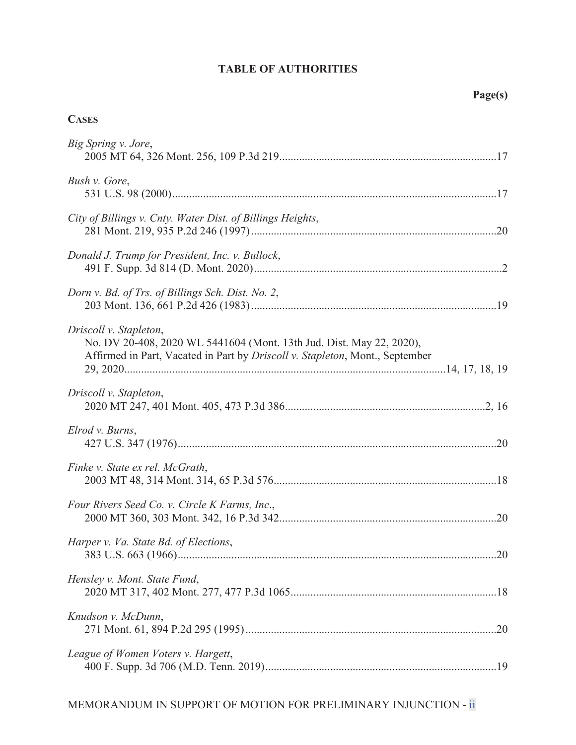# **TABLE OF AUTHORITIES**

# **CASES**

| Big Spring v. Jore,                                                                                                                                                            |  |
|--------------------------------------------------------------------------------------------------------------------------------------------------------------------------------|--|
| Bush v. Gore,                                                                                                                                                                  |  |
| City of Billings v. Cnty. Water Dist. of Billings Heights,                                                                                                                     |  |
| Donald J. Trump for President, Inc. v. Bullock,                                                                                                                                |  |
| Dorn v. Bd. of Trs. of Billings Sch. Dist. No. 2,                                                                                                                              |  |
| Driscoll v. Stapleton,<br>No. DV 20-408, 2020 WL 5441604 (Mont. 13th Jud. Dist. May 22, 2020),<br>Affirmed in Part, Vacated in Part by Driscoll v. Stapleton, Mont., September |  |
| Driscoll v. Stapleton,                                                                                                                                                         |  |
| Elrod v. Burns,                                                                                                                                                                |  |
| Finke v. State ex rel. McGrath,                                                                                                                                                |  |
| Four Rivers Seed Co. v. Circle K Farms, Inc.,                                                                                                                                  |  |
| Harper v. Va. State Bd. of Elections,                                                                                                                                          |  |
| Hensley v. Mont. State Fund,                                                                                                                                                   |  |
| Knudson v. McDunn,                                                                                                                                                             |  |
| League of Women Voters v. Hargett,                                                                                                                                             |  |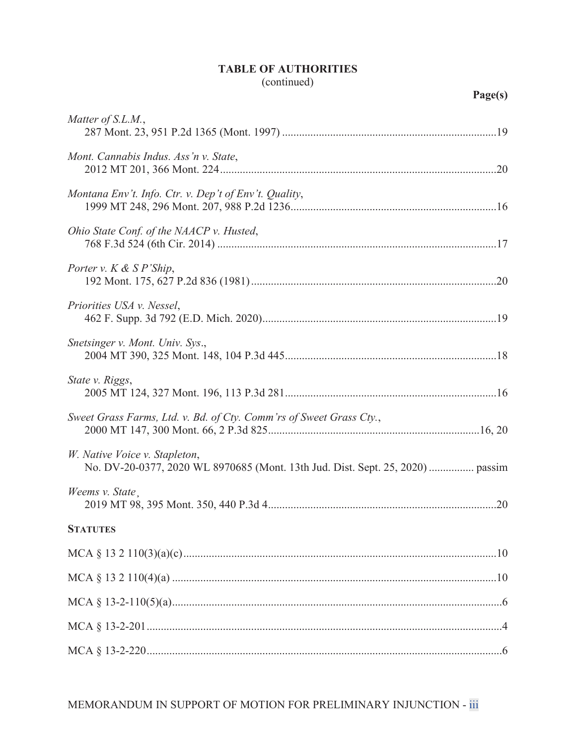# **TABLE OF AUTHORITIES**  (continued)

| Matter of S.L.M.,                                                   |
|---------------------------------------------------------------------|
| Mont. Cannabis Indus. Ass'n v. State,                               |
| Montana Env't. Info. Ctr. v. Dep't of Env't. Quality,               |
| Ohio State Conf. of the NAACP v. Husted,                            |
| Porter v. $K \& S P'$ Ship,                                         |
| Priorities USA v. Nessel,                                           |
| Snetsinger v. Mont. Univ. Sys.,                                     |
| State v. Riggs,                                                     |
| Sweet Grass Farms, Ltd. v. Bd. of Cty. Comm'rs of Sweet Grass Cty., |
| W. Native Voice v. Stapleton,                                       |
| Weems v. State.                                                     |
| <b>STATUTES</b>                                                     |
|                                                                     |
|                                                                     |
|                                                                     |
|                                                                     |
|                                                                     |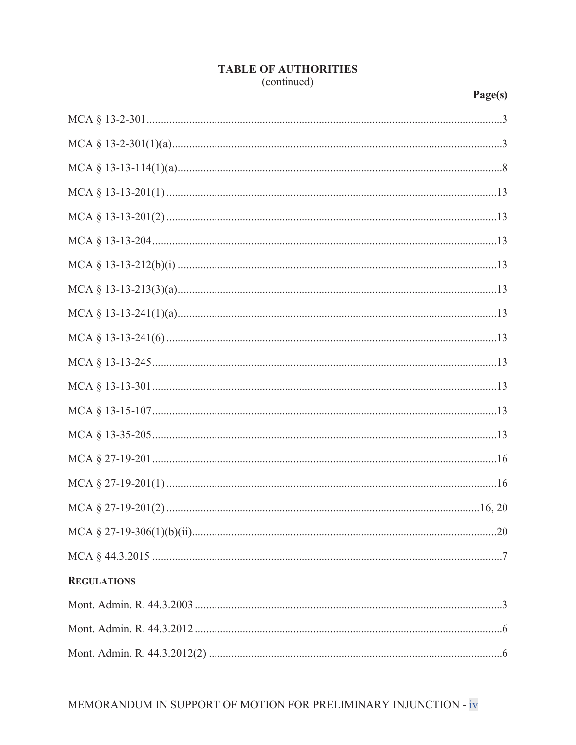# **TABLE OF AUTHORITIES** (continued)

| <b>REGULATIONS</b> |
|--------------------|
|                    |
|                    |
|                    |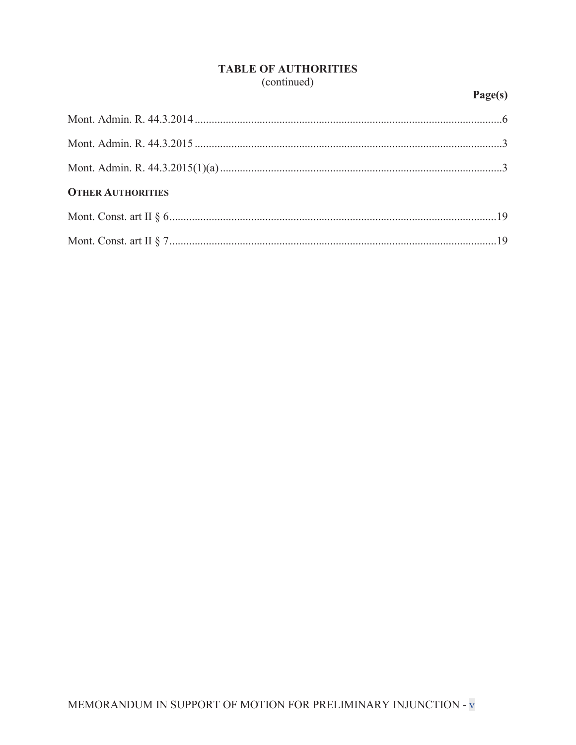# **TABLE OF AUTHORITIES** (continued)

# Page(s)

| <b>OTHER AUTHORITIES</b> |  |
|--------------------------|--|
|                          |  |
|                          |  |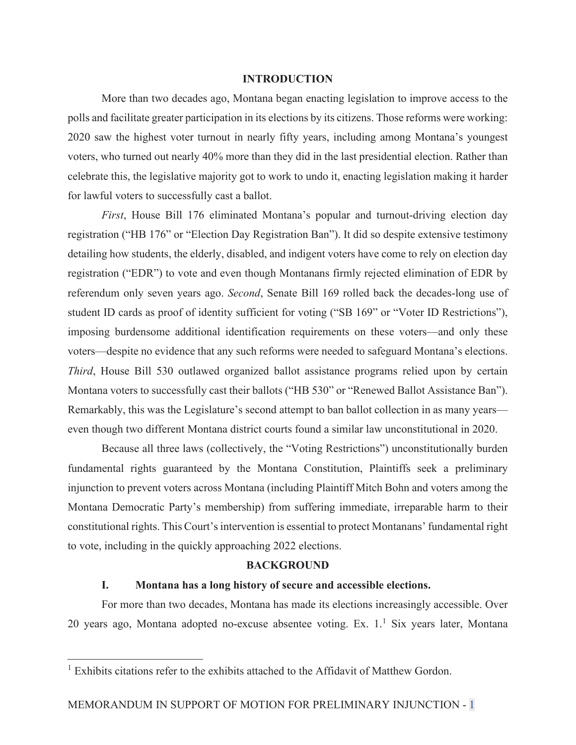# **INTRODUCTION**

 More than two decades ago, Montana began enacting legislation to improve access to the polls and facilitate greater participation in its elections by its citizens. Those reforms were working: 2020 saw the highest voter turnout in nearly fifty years, including among Montana's youngest voters, who turned out nearly 40% more than they did in the last presidential election. Rather than celebrate this, the legislative majority got to work to undo it, enacting legislation making it harder for lawful voters to successfully cast a ballot.

*First*, House Bill 176 eliminated Montana's popular and turnout-driving election day registration ("HB 176" or "Election Day Registration Ban"). It did so despite extensive testimony detailing how students, the elderly, disabled, and indigent voters have come to rely on election day registration ("EDR") to vote and even though Montanans firmly rejected elimination of EDR by referendum only seven years ago. *Second*, Senate Bill 169 rolled back the decades-long use of student ID cards as proof of identity sufficient for voting ("SB 169" or "Voter ID Restrictions"), imposing burdensome additional identification requirements on these voters—and only these voters—despite no evidence that any such reforms were needed to safeguard Montana's elections. *Third*, House Bill 530 outlawed organized ballot assistance programs relied upon by certain Montana voters to successfully cast their ballots ("HB 530" or "Renewed Ballot Assistance Ban"). Remarkably, this was the Legislature's second attempt to ban ballot collection in as many years even though two different Montana district courts found a similar law unconstitutional in 2020.

 Because all three laws (collectively, the "Voting Restrictions") unconstitutionally burden fundamental rights guaranteed by the Montana Constitution, Plaintiffs seek a preliminary injunction to prevent voters across Montana (including Plaintiff Mitch Bohn and voters among the Montana Democratic Party's membership) from suffering immediate, irreparable harm to their constitutional rights. This Court's intervention is essential to protect Montanans' fundamental right to vote, including in the quickly approaching 2022 elections.

#### **BACKGROUND**

# **I. Montana has a long history of secure and accessible elections.**

 For more than two decades, Montana has made its elections increasingly accessible. Over 20 years ago, Montana adopted no-excuse absentee voting. Ex.  $1.1$  Six years later, Montana

<sup>&</sup>lt;sup>1</sup> Exhibits citations refer to the exhibits attached to the Affidavit of Matthew Gordon.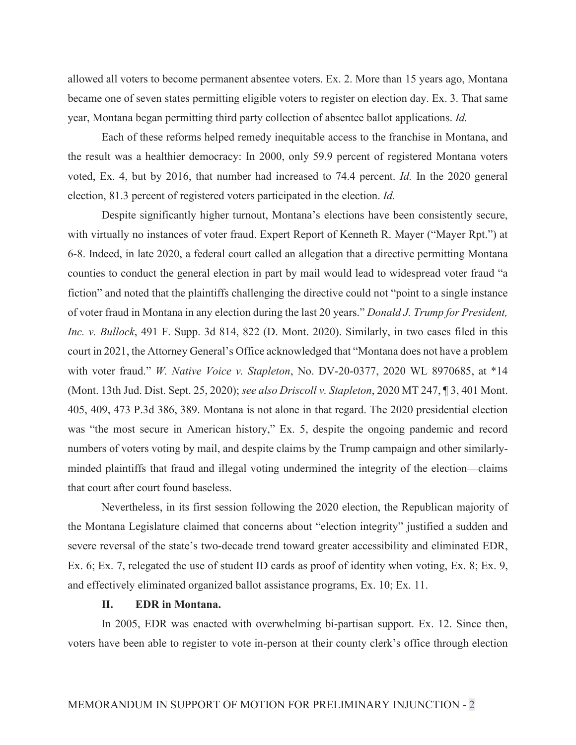allowed all voters to become permanent absentee voters. Ex. 2. More than 15 years ago, Montana became one of seven states permitting eligible voters to register on election day. Ex. 3. That same year, Montana began permitting third party collection of absentee ballot applications. *Id.*

 Each of these reforms helped remedy inequitable access to the franchise in Montana, and the result was a healthier democracy: In 2000, only 59.9 percent of registered Montana voters voted, Ex. 4, but by 2016, that number had increased to 74.4 percent. *Id.* In the 2020 general election, 81.3 percent of registered voters participated in the election. *Id.*

 Despite significantly higher turnout, Montana's elections have been consistently secure, with virtually no instances of voter fraud. Expert Report of Kenneth R. Mayer ("Mayer Rpt.") at 6-8. Indeed, in late 2020, a federal court called an allegation that a directive permitting Montana counties to conduct the general election in part by mail would lead to widespread voter fraud "a fiction" and noted that the plaintiffs challenging the directive could not "point to a single instance of voter fraud in Montana in any election during the last 20 years." *Donald J. Trump for President, Inc. v. Bullock*, 491 F. Supp. 3d 814, 822 (D. Mont. 2020). Similarly, in two cases filed in this court in 2021, the Attorney General's Office acknowledged that "Montana does not have a problem with voter fraud." *W. Native Voice v. Stapleton*, No. DV-20-0377, 2020 WL 8970685, at \*14 (Mont. 13th Jud. Dist. Sept. 25, 2020); *see also Driscoll v. Stapleton*, 2020 MT 247, ¶ 3, 401 Mont. 405, 409, 473 P.3d 386, 389. Montana is not alone in that regard. The 2020 presidential election was "the most secure in American history," Ex. 5, despite the ongoing pandemic and record numbers of voters voting by mail, and despite claims by the Trump campaign and other similarlyminded plaintiffs that fraud and illegal voting undermined the integrity of the election—claims that court after court found baseless.

 Nevertheless, in its first session following the 2020 election, the Republican majority of the Montana Legislature claimed that concerns about "election integrity" justified a sudden and severe reversal of the state's two-decade trend toward greater accessibility and eliminated EDR, Ex. 6; Ex. 7, relegated the use of student ID cards as proof of identity when voting, Ex. 8; Ex. 9, and effectively eliminated organized ballot assistance programs, Ex. 10; Ex. 11.

## **II. EDR in Montana.**

 In 2005, EDR was enacted with overwhelming bi-partisan support. Ex. 12. Since then, voters have been able to register to vote in-person at their county clerk's office through election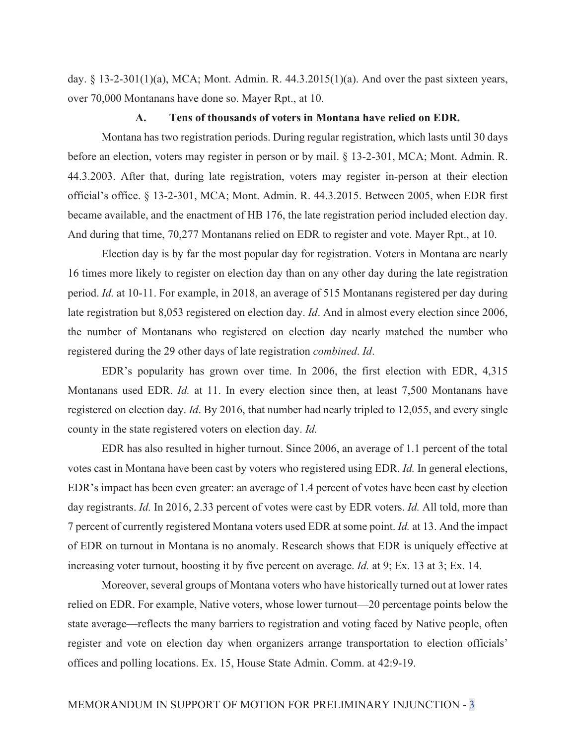day.  $\S$  13-2-301(1)(a), MCA; Mont. Admin. R. 44.3.2015(1)(a). And over the past sixteen years, over 70,000 Montanans have done so. Mayer Rpt., at 10.

## **A. Tens of thousands of voters in Montana have relied on EDR.**

 Montana has two registration periods. During regular registration, which lasts until 30 days before an election, voters may register in person or by mail. § 13-2-301, MCA; Mont. Admin. R. 44.3.2003. After that, during late registration, voters may register in-person at their election official's office. § 13-2-301, MCA; Mont. Admin. R. 44.3.2015. Between 2005, when EDR first became available, and the enactment of HB 176, the late registration period included election day. And during that time, 70,277 Montanans relied on EDR to register and vote. Mayer Rpt., at 10.

 Election day is by far the most popular day for registration. Voters in Montana are nearly 16 times more likely to register on election day than on any other day during the late registration period. *Id.* at 10-11. For example, in 2018, an average of 515 Montanans registered per day during late registration but 8,053 registered on election day. *Id*. And in almost every election since 2006, the number of Montanans who registered on election day nearly matched the number who registered during the 29 other days of late registration *combined*. *Id*.

 EDR's popularity has grown over time. In 2006, the first election with EDR, 4,315 Montanans used EDR. *Id.* at 11. In every election since then, at least 7,500 Montanans have registered on election day. *Id*. By 2016, that number had nearly tripled to 12,055, and every single county in the state registered voters on election day. *Id.*

 EDR has also resulted in higher turnout. Since 2006, an average of 1.1 percent of the total votes cast in Montana have been cast by voters who registered using EDR. *Id.* In general elections, EDR's impact has been even greater: an average of 1.4 percent of votes have been cast by election day registrants. *Id.* In 2016, 2.33 percent of votes were cast by EDR voters. *Id.* All told, more than 7 percent of currently registered Montana voters used EDR at some point. *Id.* at 13. And the impact of EDR on turnout in Montana is no anomaly. Research shows that EDR is uniquely effective at increasing voter turnout, boosting it by five percent on average. *Id.* at 9; Ex. 13 at 3; Ex. 14.

 Moreover, several groups of Montana voters who have historically turned out at lower rates relied on EDR. For example, Native voters, whose lower turnout—20 percentage points below the state average—reflects the many barriers to registration and voting faced by Native people, often register and vote on election day when organizers arrange transportation to election officials' offices and polling locations. Ex. 15, House State Admin. Comm. at 42:9-19.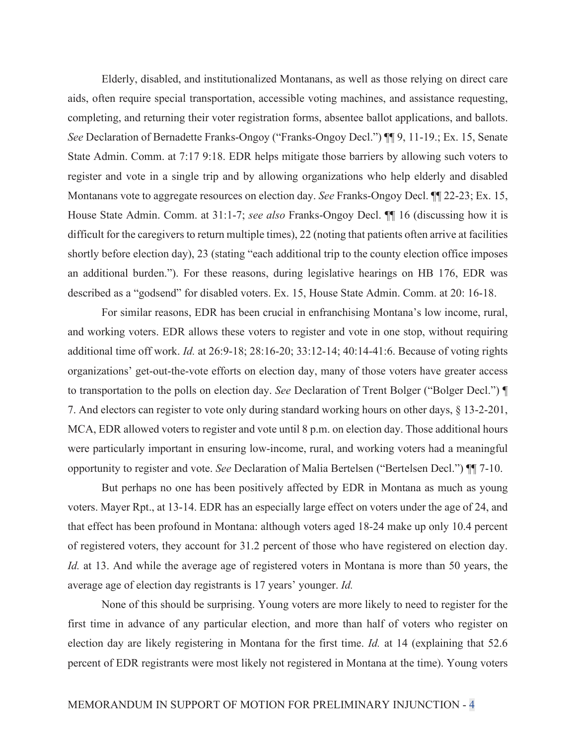Elderly, disabled, and institutionalized Montanans, as well as those relying on direct care aids, often require special transportation, accessible voting machines, and assistance requesting, completing, and returning their voter registration forms, absentee ballot applications, and ballots. *See* Declaration of Bernadette Franks-Ongoy ("Franks-Ongoy Decl.") ¶¶ 9, 11-19.; Ex. 15, Senate State Admin. Comm. at 7:17 9:18. EDR helps mitigate those barriers by allowing such voters to register and vote in a single trip and by allowing organizations who help elderly and disabled Montanans vote to aggregate resources on election day. *See* Franks-Ongoy Decl. ¶¶ 22-23; Ex. 15, House State Admin. Comm. at 31:1-7; *see also* Franks-Ongoy Decl. ¶¶ 16 (discussing how it is difficult for the caregivers to return multiple times), 22 (noting that patients often arrive at facilities shortly before election day), 23 (stating "each additional trip to the county election office imposes an additional burden."). For these reasons, during legislative hearings on HB 176, EDR was described as a "godsend" for disabled voters. Ex. 15, House State Admin. Comm. at 20: 16-18.

 For similar reasons, EDR has been crucial in enfranchising Montana's low income, rural, and working voters. EDR allows these voters to register and vote in one stop, without requiring additional time off work. *Id.* at 26:9-18; 28:16-20; 33:12-14; 40:14-41:6. Because of voting rights organizations' get-out-the-vote efforts on election day, many of those voters have greater access to transportation to the polls on election day. *See* Declaration of Trent Bolger ("Bolger Decl.") ¶ 7. And electors can register to vote only during standard working hours on other days, § 13-2-201, MCA, EDR allowed voters to register and vote until 8 p.m. on election day. Those additional hours were particularly important in ensuring low-income, rural, and working voters had a meaningful opportunity to register and vote. *See* Declaration of Malia Bertelsen ("Bertelsen Decl.") ¶¶ 7-10.

 But perhaps no one has been positively affected by EDR in Montana as much as young voters. Mayer Rpt., at 13-14. EDR has an especially large effect on voters under the age of 24, and that effect has been profound in Montana: although voters aged 18-24 make up only 10.4 percent of registered voters, they account for 31.2 percent of those who have registered on election day. *Id.* at 13. And while the average age of registered voters in Montana is more than 50 years, the average age of election day registrants is 17 years' younger. *Id.* 

 None of this should be surprising. Young voters are more likely to need to register for the first time in advance of any particular election, and more than half of voters who register on election day are likely registering in Montana for the first time. *Id.* at 14 (explaining that 52.6 percent of EDR registrants were most likely not registered in Montana at the time). Young voters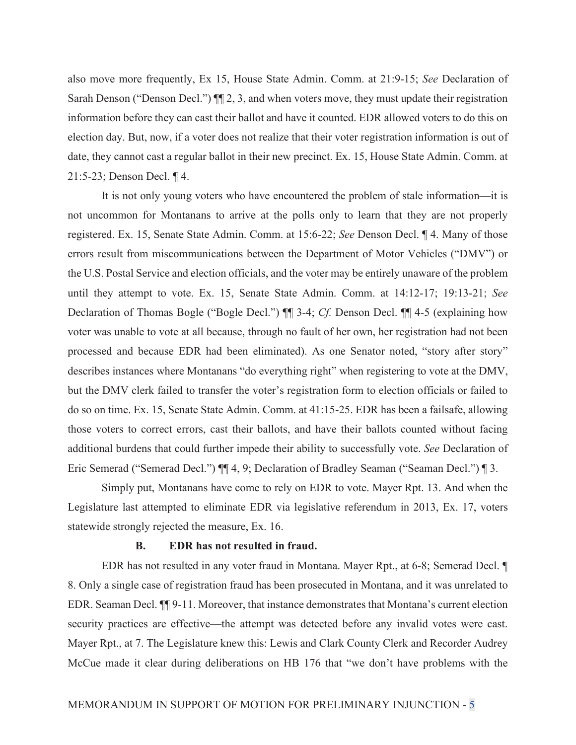also move more frequently, Ex 15, House State Admin. Comm. at 21:9-15; *See* Declaration of Sarah Denson ("Denson Decl.")  $\P$ [2, 3, and when voters move, they must update their registration information before they can cast their ballot and have it counted. EDR allowed voters to do this on election day. But, now, if a voter does not realize that their voter registration information is out of date, they cannot cast a regular ballot in their new precinct. Ex. 15, House State Admin. Comm. at 21:5-23; Denson Decl. ¶ 4.

 It is not only young voters who have encountered the problem of stale information—it is not uncommon for Montanans to arrive at the polls only to learn that they are not properly registered. Ex. 15, Senate State Admin. Comm. at 15:6-22; *See* Denson Decl. ¶ 4. Many of those errors result from miscommunications between the Department of Motor Vehicles ("DMV") or the U.S. Postal Service and election officials, and the voter may be entirely unaware of the problem until they attempt to vote. Ex. 15, Senate State Admin. Comm. at 14:12-17; 19:13-21; *See* Declaration of Thomas Bogle ("Bogle Decl.") ¶¶ 3-4; *Cf.* Denson Decl. ¶¶ 4-5 (explaining how voter was unable to vote at all because, through no fault of her own, her registration had not been processed and because EDR had been eliminated). As one Senator noted, "story after story" describes instances where Montanans "do everything right" when registering to vote at the DMV, but the DMV clerk failed to transfer the voter's registration form to election officials or failed to do so on time. Ex. 15, Senate State Admin. Comm. at 41:15-25. EDR has been a failsafe, allowing those voters to correct errors, cast their ballots, and have their ballots counted without facing additional burdens that could further impede their ability to successfully vote. *See* Declaration of Eric Semerad ("Semerad Decl.") ¶¶ 4, 9; Declaration of Bradley Seaman ("Seaman Decl.") ¶ 3.

 Simply put, Montanans have come to rely on EDR to vote. Mayer Rpt. 13. And when the Legislature last attempted to eliminate EDR via legislative referendum in 2013, Ex. 17, voters statewide strongly rejected the measure, Ex. 16.

## **B. EDR has not resulted in fraud.**

 EDR has not resulted in any voter fraud in Montana. Mayer Rpt., at 6-8; Semerad Decl. ¶ 8. Only a single case of registration fraud has been prosecuted in Montana, and it was unrelated to EDR. Seaman Decl. ¶¶ 9-11. Moreover, that instance demonstrates that Montana's current election security practices are effective—the attempt was detected before any invalid votes were cast. Mayer Rpt., at 7. The Legislature knew this: Lewis and Clark County Clerk and Recorder Audrey McCue made it clear during deliberations on HB 176 that "we don't have problems with the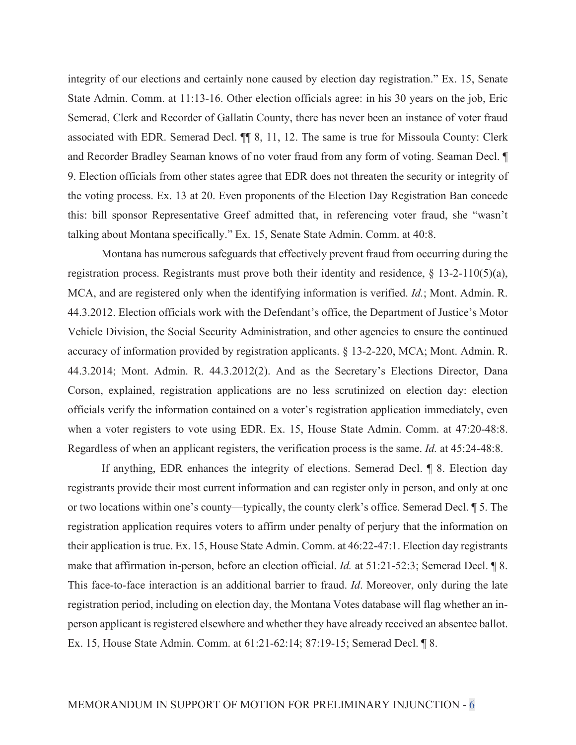integrity of our elections and certainly none caused by election day registration." Ex. 15, Senate State Admin. Comm. at 11:13-16. Other election officials agree: in his 30 years on the job, Eric Semerad, Clerk and Recorder of Gallatin County, there has never been an instance of voter fraud associated with EDR. Semerad Decl. ¶¶ 8, 11, 12. The same is true for Missoula County: Clerk and Recorder Bradley Seaman knows of no voter fraud from any form of voting. Seaman Decl. ¶ 9. Election officials from other states agree that EDR does not threaten the security or integrity of the voting process. Ex. 13 at 20. Even proponents of the Election Day Registration Ban concede this: bill sponsor Representative Greef admitted that, in referencing voter fraud, she "wasn't talking about Montana specifically." Ex. 15, Senate State Admin. Comm. at 40:8.

 Montana has numerous safeguards that effectively prevent fraud from occurring during the registration process. Registrants must prove both their identity and residence, § 13-2-110(5)(a), MCA, and are registered only when the identifying information is verified. *Id.*; Mont. Admin. R. 44.3.2012. Election officials work with the Defendant's office, the Department of Justice's Motor Vehicle Division, the Social Security Administration, and other agencies to ensure the continued accuracy of information provided by registration applicants. § 13-2-220, MCA; Mont. Admin. R. 44.3.2014; Mont. Admin. R. 44.3.2012(2). And as the Secretary's Elections Director, Dana Corson, explained, registration applications are no less scrutinized on election day: election officials verify the information contained on a voter's registration application immediately, even when a voter registers to vote using EDR. Ex. 15, House State Admin. Comm. at 47:20-48:8. Regardless of when an applicant registers, the verification process is the same. *Id.* at 45:24-48:8.

 If anything, EDR enhances the integrity of elections. Semerad Decl. ¶ 8. Election day registrants provide their most current information and can register only in person, and only at one or two locations within one's county—typically, the county clerk's office. Semerad Decl. ¶ 5. The registration application requires voters to affirm under penalty of perjury that the information on their application is true. Ex. 15, House State Admin. Comm. at 46:22-47:1. Election day registrants make that affirmation in-person, before an election official. *Id.* at 51:21-52:3; Semerad Decl. ¶ 8. This face-to-face interaction is an additional barrier to fraud. *Id*. Moreover, only during the late registration period, including on election day, the Montana Votes database will flag whether an inperson applicant is registered elsewhere and whether they have already received an absentee ballot. Ex. 15, House State Admin. Comm. at 61:21-62:14; 87:19-15; Semerad Decl. ¶ 8.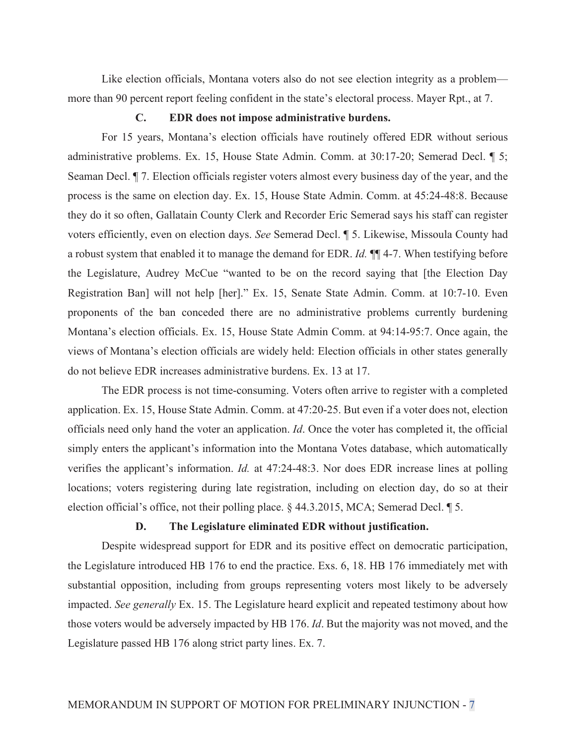Like election officials, Montana voters also do not see election integrity as a problem more than 90 percent report feeling confident in the state's electoral process. Mayer Rpt., at 7.

## **C. EDR does not impose administrative burdens.**

 For 15 years, Montana's election officials have routinely offered EDR without serious administrative problems. Ex. 15, House State Admin. Comm. at 30:17-20; Semerad Decl. ¶ 5; Seaman Decl. ¶ 7. Election officials register voters almost every business day of the year, and the process is the same on election day. Ex. 15, House State Admin. Comm. at 45:24-48:8. Because they do it so often, Gallatain County Clerk and Recorder Eric Semerad says his staff can register voters efficiently, even on election days. *See* Semerad Decl. ¶ 5. Likewise, Missoula County had a robust system that enabled it to manage the demand for EDR. *Id.* ¶¶ 4-7. When testifying before the Legislature, Audrey McCue "wanted to be on the record saying that [the Election Day Registration Ban] will not help [her]." Ex. 15, Senate State Admin. Comm. at 10:7-10. Even proponents of the ban conceded there are no administrative problems currently burdening Montana's election officials. Ex. 15, House State Admin Comm. at 94:14-95:7. Once again, the views of Montana's election officials are widely held: Election officials in other states generally do not believe EDR increases administrative burdens. Ex. 13 at 17.

 The EDR process is not time-consuming. Voters often arrive to register with a completed application. Ex. 15, House State Admin. Comm. at 47:20-25. But even if a voter does not, election officials need only hand the voter an application. *Id*. Once the voter has completed it, the official simply enters the applicant's information into the Montana Votes database, which automatically verifies the applicant's information. *Id.* at 47:24-48:3. Nor does EDR increase lines at polling locations; voters registering during late registration, including on election day, do so at their election official's office, not their polling place. § 44.3.2015, MCA; Semerad Decl. ¶ 5.

#### **D. The Legislature eliminated EDR without justification.**

 Despite widespread support for EDR and its positive effect on democratic participation, the Legislature introduced HB 176 to end the practice. Exs. 6, 18. HB 176 immediately met with substantial opposition, including from groups representing voters most likely to be adversely impacted. *See generally* Ex. 15. The Legislature heard explicit and repeated testimony about how those voters would be adversely impacted by HB 176. *Id*. But the majority was not moved, and the Legislature passed HB 176 along strict party lines. Ex. 7.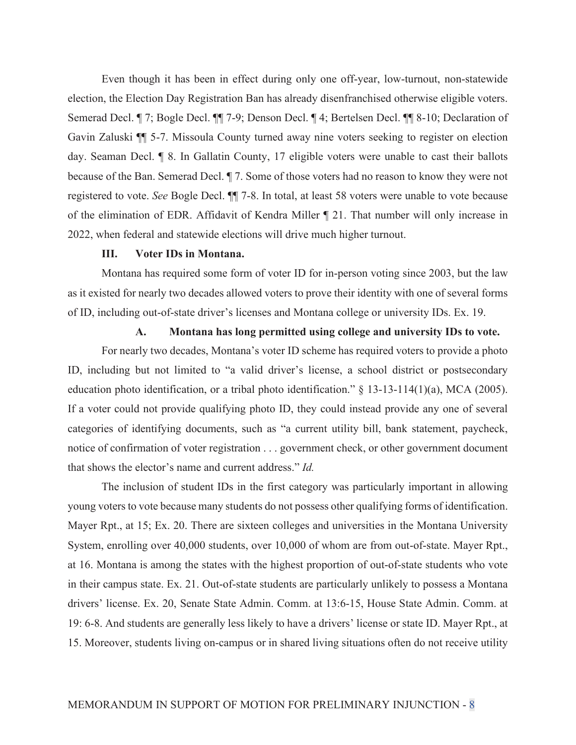Even though it has been in effect during only one off-year, low-turnout, non-statewide election, the Election Day Registration Ban has already disenfranchised otherwise eligible voters. Semerad Decl. ¶ 7; Bogle Decl. ¶¶ 7-9; Denson Decl. ¶ 4; Bertelsen Decl. ¶¶ 8-10; Declaration of Gavin Zaluski ¶¶ 5-7. Missoula County turned away nine voters seeking to register on election day. Seaman Decl. ¶ 8. In Gallatin County, 17 eligible voters were unable to cast their ballots because of the Ban. Semerad Decl. ¶ 7. Some of those voters had no reason to know they were not registered to vote. *See* Bogle Decl. ¶¶ 7-8. In total, at least 58 voters were unable to vote because of the elimination of EDR. Affidavit of Kendra Miller ¶ 21. That number will only increase in 2022, when federal and statewide elections will drive much higher turnout.

## **III. Voter IDs in Montana.**

 Montana has required some form of voter ID for in-person voting since 2003, but the law as it existed for nearly two decades allowed voters to prove their identity with one of several forms of ID, including out-of-state driver's licenses and Montana college or university IDs. Ex. 19.

## **A. Montana has long permitted using college and university IDs to vote.**

 For nearly two decades, Montana's voter ID scheme has required voters to provide a photo ID, including but not limited to "a valid driver's license, a school district or postsecondary education photo identification, or a tribal photo identification." § 13-13-114(1)(a), MCA (2005). If a voter could not provide qualifying photo ID, they could instead provide any one of several categories of identifying documents, such as "a current utility bill, bank statement, paycheck, notice of confirmation of voter registration . . . government check, or other government document that shows the elector's name and current address." *Id.* 

The inclusion of student IDs in the first category was particularly important in allowing young voters to vote because many students do not possess other qualifying forms of identification. Mayer Rpt., at 15; Ex. 20. There are sixteen colleges and universities in the Montana University System, enrolling over 40,000 students, over 10,000 of whom are from out-of-state. Mayer Rpt., at 16. Montana is among the states with the highest proportion of out-of-state students who vote in their campus state. Ex. 21. Out-of-state students are particularly unlikely to possess a Montana drivers' license. Ex. 20, Senate State Admin. Comm. at 13:6-15, House State Admin. Comm. at 19: 6-8. And students are generally less likely to have a drivers' license or state ID. Mayer Rpt., at 15. Moreover, students living on-campus or in shared living situations often do not receive utility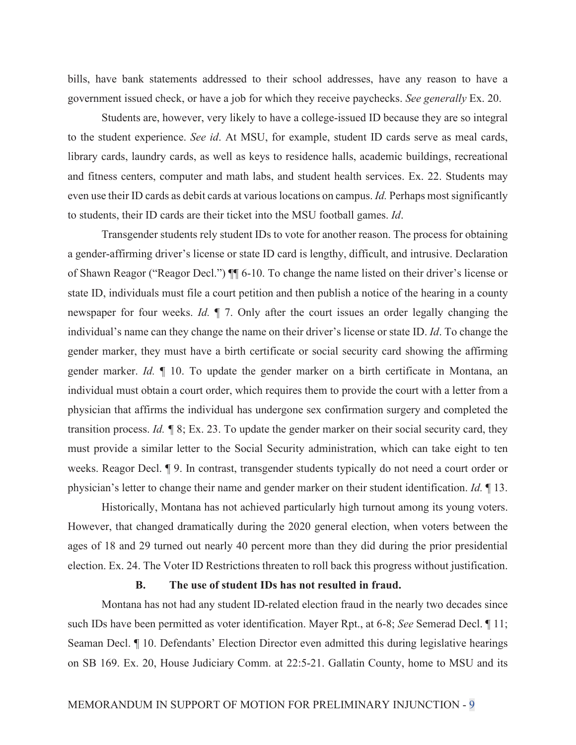bills, have bank statements addressed to their school addresses, have any reason to have a government issued check, or have a job for which they receive paychecks. *See generally* Ex. 20.

 Students are, however, very likely to have a college-issued ID because they are so integral to the student experience. *See id*. At MSU, for example, student ID cards serve as meal cards, library cards, laundry cards, as well as keys to residence halls, academic buildings, recreational and fitness centers, computer and math labs, and student health services. Ex. 22. Students may even use their ID cards as debit cards at various locations on campus. *Id.* Perhaps most significantly to students, their ID cards are their ticket into the MSU football games. *Id*.

 Transgender students rely student IDs to vote for another reason. The process for obtaining a gender-affirming driver's license or state ID card is lengthy, difficult, and intrusive. Declaration of Shawn Reagor ("Reagor Decl.") ¶¶ 6-10. To change the name listed on their driver's license or state ID, individuals must file a court petition and then publish a notice of the hearing in a county newspaper for four weeks. *Id.* ¶ 7. Only after the court issues an order legally changing the individual's name can they change the name on their driver's license or state ID. *Id*. To change the gender marker, they must have a birth certificate or social security card showing the affirming gender marker. *Id.* ¶ 10. To update the gender marker on a birth certificate in Montana, an individual must obtain a court order, which requires them to provide the court with a letter from a physician that affirms the individual has undergone sex confirmation surgery and completed the transition process. *Id. ¶* 8; Ex. 23. To update the gender marker on their social security card, they must provide a similar letter to the Social Security administration, which can take eight to ten weeks. Reagor Decl. ¶ 9. In contrast, transgender students typically do not need a court order or physician's letter to change their name and gender marker on their student identification. *Id.* ¶ 13.

 Historically, Montana has not achieved particularly high turnout among its young voters. However, that changed dramatically during the 2020 general election, when voters between the ages of 18 and 29 turned out nearly 40 percent more than they did during the prior presidential election. Ex. 24. The Voter ID Restrictions threaten to roll back this progress without justification.

# **B. The use of student IDs has not resulted in fraud.**

 Montana has not had any student ID-related election fraud in the nearly two decades since such IDs have been permitted as voter identification. Mayer Rpt., at 6-8; *See* Semerad Decl. ¶ 11; Seaman Decl. ¶ 10. Defendants' Election Director even admitted this during legislative hearings on SB 169. Ex. 20, House Judiciary Comm. at 22:5-21. Gallatin County, home to MSU and its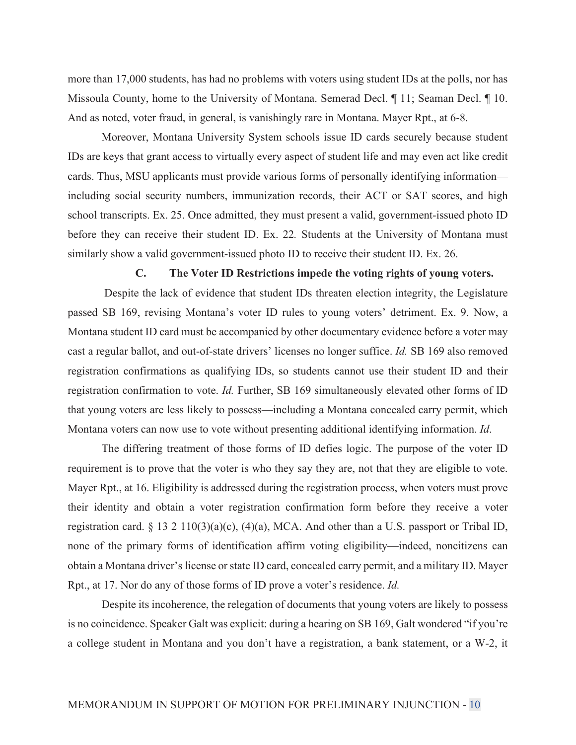more than 17,000 students, has had no problems with voters using student IDs at the polls, nor has Missoula County, home to the University of Montana. Semerad Decl. ¶ 11; Seaman Decl. ¶ 10. And as noted, voter fraud, in general, is vanishingly rare in Montana. Mayer Rpt., at 6-8.

 Moreover, Montana University System schools issue ID cards securely because student IDs are keys that grant access to virtually every aspect of student life and may even act like credit cards. Thus, MSU applicants must provide various forms of personally identifying information including social security numbers, immunization records, their ACT or SAT scores, and high school transcripts. Ex. 25. Once admitted, they must present a valid, government-issued photo ID before they can receive their student ID. Ex. 22*.* Students at the University of Montana must similarly show a valid government-issued photo ID to receive their student ID. Ex. 26.

## **C. The Voter ID Restrictions impede the voting rights of young voters.**

 Despite the lack of evidence that student IDs threaten election integrity, the Legislature passed SB 169, revising Montana's voter ID rules to young voters' detriment. Ex. 9. Now, a Montana student ID card must be accompanied by other documentary evidence before a voter may cast a regular ballot, and out-of-state drivers' licenses no longer suffice. *Id.* SB 169 also removed registration confirmations as qualifying IDs, so students cannot use their student ID and their registration confirmation to vote. *Id.* Further, SB 169 simultaneously elevated other forms of ID that young voters are less likely to possess—including a Montana concealed carry permit, which Montana voters can now use to vote without presenting additional identifying information. *Id*.

 The differing treatment of those forms of ID defies logic. The purpose of the voter ID requirement is to prove that the voter is who they say they are, not that they are eligible to vote. Mayer Rpt., at 16. Eligibility is addressed during the registration process, when voters must prove their identity and obtain a voter registration confirmation form before they receive a voter registration card. § 13 2 110(3)(a)(c), (4)(a), MCA. And other than a U.S. passport or Tribal ID, none of the primary forms of identification affirm voting eligibility—indeed, noncitizens can obtain a Montana driver's license or state ID card, concealed carry permit, and a military ID. Mayer Rpt., at 17. Nor do any of those forms of ID prove a voter's residence. *Id.* 

 Despite its incoherence, the relegation of documents that young voters are likely to possess is no coincidence. Speaker Galt was explicit: during a hearing on SB 169, Galt wondered "if you're a college student in Montana and you don't have a registration, a bank statement, or a W-2, it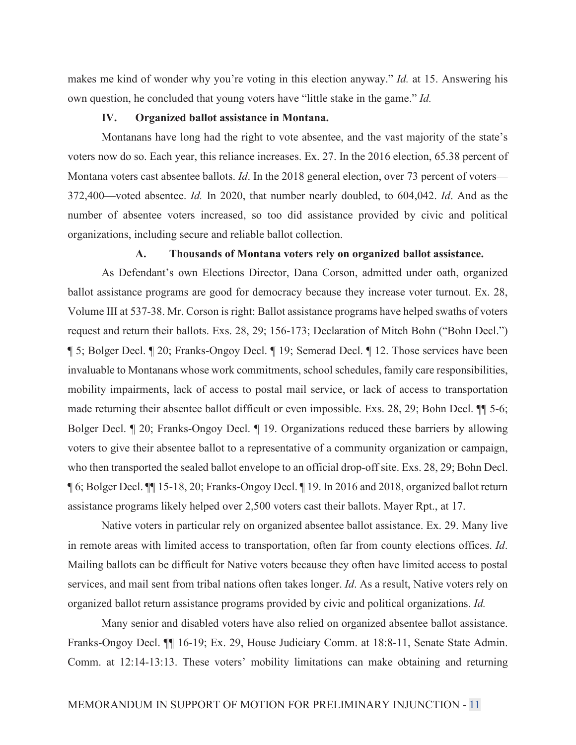makes me kind of wonder why you're voting in this election anyway." *Id.* at 15. Answering his own question, he concluded that young voters have "little stake in the game." *Id.*

## **IV. Organized ballot assistance in Montana.**

 Montanans have long had the right to vote absentee, and the vast majority of the state's voters now do so. Each year, this reliance increases. Ex. 27. In the 2016 election, 65.38 percent of Montana voters cast absentee ballots. *Id*. In the 2018 general election, over 73 percent of voters— 372,400—voted absentee. *Id.* In 2020, that number nearly doubled, to 604,042. *Id*. And as the number of absentee voters increased, so too did assistance provided by civic and political organizations, including secure and reliable ballot collection.

## **A. Thousands of Montana voters rely on organized ballot assistance.**

 As Defendant's own Elections Director, Dana Corson, admitted under oath, organized ballot assistance programs are good for democracy because they increase voter turnout. Ex. 28, Volume III at 537-38. Mr. Corson is right: Ballot assistance programs have helped swaths of voters request and return their ballots. Exs. 28, 29; 156-173; Declaration of Mitch Bohn ("Bohn Decl.") ¶ 5; Bolger Decl. ¶ 20; Franks-Ongoy Decl. ¶ 19; Semerad Decl. ¶ 12. Those services have been invaluable to Montanans whose work commitments, school schedules, family care responsibilities, mobility impairments, lack of access to postal mail service, or lack of access to transportation made returning their absentee ballot difficult or even impossible. Exs. 28, 29; Bohn Decl. ¶¶ 5-6; Bolger Decl. ¶ 20; Franks-Ongoy Decl. ¶ 19. Organizations reduced these barriers by allowing voters to give their absentee ballot to a representative of a community organization or campaign, who then transported the sealed ballot envelope to an official drop-off site. Exs. 28, 29; Bohn Decl. ¶ 6; Bolger Decl. ¶¶ 15-18, 20; Franks-Ongoy Decl. ¶ 19. In 2016 and 2018, organized ballot return assistance programs likely helped over 2,500 voters cast their ballots. Mayer Rpt., at 17.

 Native voters in particular rely on organized absentee ballot assistance. Ex. 29. Many live in remote areas with limited access to transportation, often far from county elections offices. *Id*. Mailing ballots can be difficult for Native voters because they often have limited access to postal services, and mail sent from tribal nations often takes longer. *Id*. As a result, Native voters rely on organized ballot return assistance programs provided by civic and political organizations. *Id.*

 Many senior and disabled voters have also relied on organized absentee ballot assistance. Franks-Ongoy Decl. ¶¶ 16-19; Ex. 29, House Judiciary Comm. at 18:8-11, Senate State Admin. Comm. at 12:14-13:13. These voters' mobility limitations can make obtaining and returning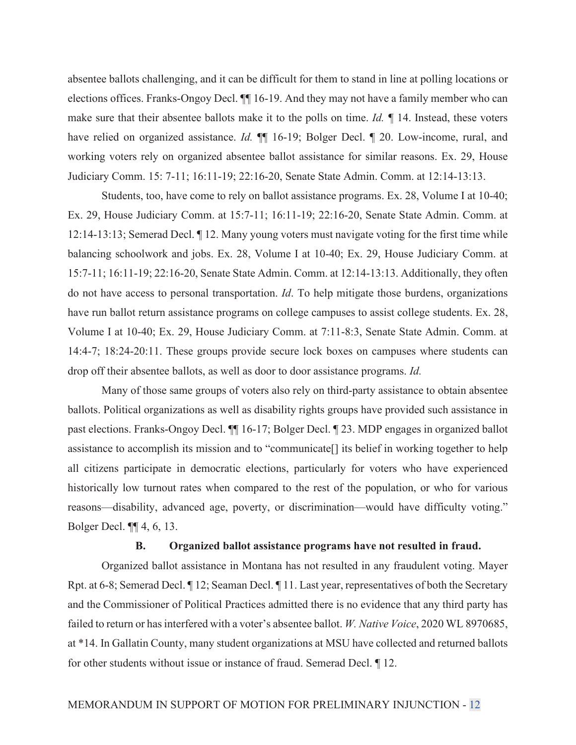absentee ballots challenging, and it can be difficult for them to stand in line at polling locations or elections offices. Franks-Ongoy Decl. ¶¶ 16-19. And they may not have a family member who can make sure that their absentee ballots make it to the polls on time. *Id. ¶* 14. Instead, these voters have relied on organized assistance. *Id.*  $\P$  16-19; Bolger Decl.  $\P$  20. Low-income, rural, and working voters rely on organized absentee ballot assistance for similar reasons. Ex. 29, House Judiciary Comm. 15: 7-11; 16:11-19; 22:16-20, Senate State Admin. Comm. at 12:14-13:13.

 Students, too, have come to rely on ballot assistance programs. Ex. 28, Volume I at 10-40; Ex. 29, House Judiciary Comm. at 15:7-11; 16:11-19; 22:16-20, Senate State Admin. Comm. at 12:14-13:13; Semerad Decl. ¶ 12. Many young voters must navigate voting for the first time while balancing schoolwork and jobs. Ex. 28, Volume I at 10-40; Ex. 29, House Judiciary Comm. at 15:7-11; 16:11-19; 22:16-20, Senate State Admin. Comm. at 12:14-13:13. Additionally, they often do not have access to personal transportation. *Id*. To help mitigate those burdens, organizations have run ballot return assistance programs on college campuses to assist college students. Ex. 28, Volume I at 10-40; Ex. 29, House Judiciary Comm. at 7:11-8:3, Senate State Admin. Comm. at 14:4-7; 18:24-20:11. These groups provide secure lock boxes on campuses where students can drop off their absentee ballots, as well as door to door assistance programs. *Id.*

 Many of those same groups of voters also rely on third-party assistance to obtain absentee ballots. Political organizations as well as disability rights groups have provided such assistance in past elections. Franks-Ongoy Decl. ¶¶ 16-17; Bolger Decl. ¶ 23. MDP engages in organized ballot assistance to accomplish its mission and to "communicate[] its belief in working together to help all citizens participate in democratic elections, particularly for voters who have experienced historically low turnout rates when compared to the rest of the population, or who for various reasons—disability, advanced age, poverty, or discrimination—would have difficulty voting." Bolger Decl. ¶¶ 4, 6, 13.

## **B. Organized ballot assistance programs have not resulted in fraud.**

 Organized ballot assistance in Montana has not resulted in any fraudulent voting. Mayer Rpt. at 6-8; Semerad Decl. ¶ 12; Seaman Decl. ¶ 11. Last year, representatives of both the Secretary and the Commissioner of Political Practices admitted there is no evidence that any third party has failed to return or has interfered with a voter's absentee ballot. *W. Native Voice*, 2020 WL 8970685, at \*14. In Gallatin County, many student organizations at MSU have collected and returned ballots for other students without issue or instance of fraud. Semerad Decl. ¶ 12.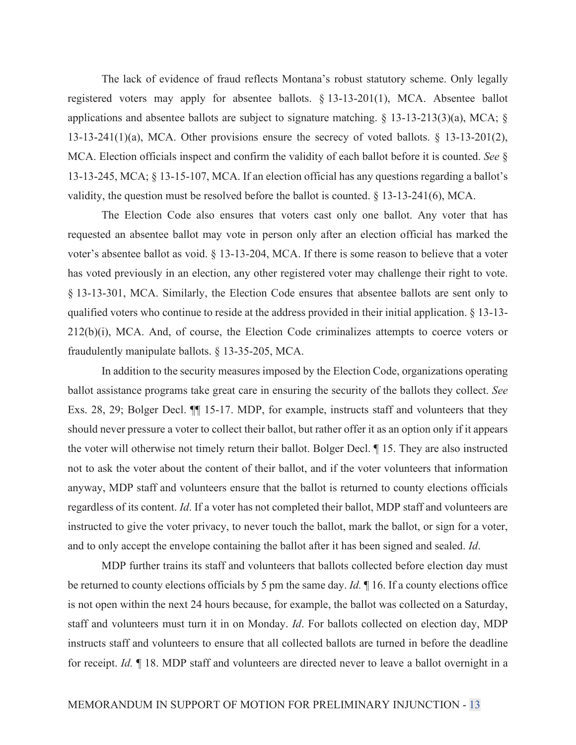The lack of evidence of fraud reflects Montana's robust statutory scheme. Only legally registered voters may apply for absentee ballots. § 13-13-201(1), MCA. Absentee ballot applications and absentee ballots are subject to signature matching. § 13-13-213(3)(a), MCA; § 13-13-241(1)(a), MCA. Other provisions ensure the secrecy of voted ballots. § 13-13-201(2), MCA. Election officials inspect and confirm the validity of each ballot before it is counted. *See* § 13-13-245, MCA; § 13-15-107, MCA. If an election official has any questions regarding a ballot's validity, the question must be resolved before the ballot is counted. § 13-13-241(6), MCA.

 The Election Code also ensures that voters cast only one ballot. Any voter that has requested an absentee ballot may vote in person only after an election official has marked the voter's absentee ballot as void. § 13-13-204, MCA. If there is some reason to believe that a voter has voted previously in an election, any other registered voter may challenge their right to vote. § 13-13-301, MCA. Similarly, the Election Code ensures that absentee ballots are sent only to qualified voters who continue to reside at the address provided in their initial application. § 13-13- 212(b)(i), MCA. And, of course, the Election Code criminalizes attempts to coerce voters or fraudulently manipulate ballots. § 13-35-205, MCA.

 In addition to the security measures imposed by the Election Code, organizations operating ballot assistance programs take great care in ensuring the security of the ballots they collect. *See*  Exs. 28, 29; Bolger Decl. ¶¶ 15-17. MDP, for example, instructs staff and volunteers that they should never pressure a voter to collect their ballot, but rather offer it as an option only if it appears the voter will otherwise not timely return their ballot. Bolger Decl. ¶ 15. They are also instructed not to ask the voter about the content of their ballot, and if the voter volunteers that information anyway, MDP staff and volunteers ensure that the ballot is returned to county elections officials regardless of its content. *Id*. If a voter has not completed their ballot, MDP staff and volunteers are instructed to give the voter privacy, to never touch the ballot, mark the ballot, or sign for a voter, and to only accept the envelope containing the ballot after it has been signed and sealed. *Id*.

 MDP further trains its staff and volunteers that ballots collected before election day must be returned to county elections officials by 5 pm the same day. *Id.* ¶ 16. If a county elections office is not open within the next 24 hours because, for example, the ballot was collected on a Saturday, staff and volunteers must turn it in on Monday. *Id*. For ballots collected on election day, MDP instructs staff and volunteers to ensure that all collected ballots are turned in before the deadline for receipt. *Id.* ¶ 18. MDP staff and volunteers are directed never to leave a ballot overnight in a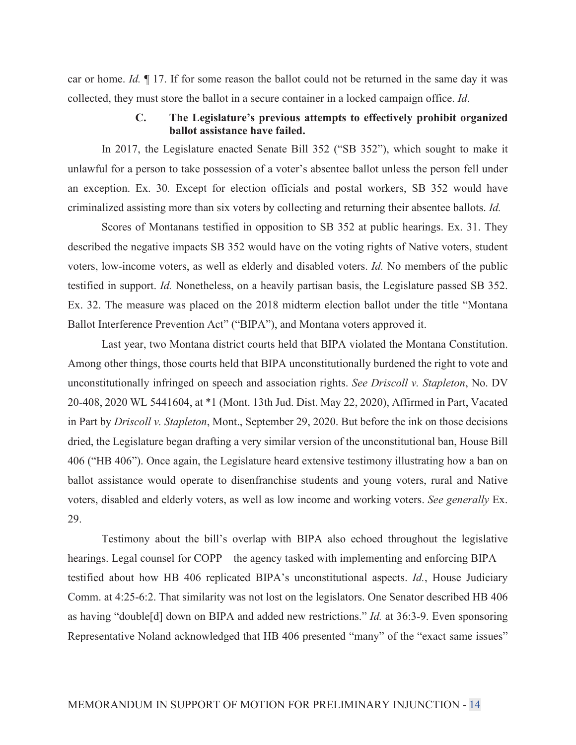car or home. *Id.* ¶ 17. If for some reason the ballot could not be returned in the same day it was collected, they must store the ballot in a secure container in a locked campaign office. *Id*.

# **C. The Legislature's previous attempts to effectively prohibit organized ballot assistance have failed.**

 In 2017, the Legislature enacted Senate Bill 352 ("SB 352"), which sought to make it unlawful for a person to take possession of a voter's absentee ballot unless the person fell under an exception. Ex. 30*.* Except for election officials and postal workers, SB 352 would have criminalized assisting more than six voters by collecting and returning their absentee ballots. *Id.*

 Scores of Montanans testified in opposition to SB 352 at public hearings. Ex. 31. They described the negative impacts SB 352 would have on the voting rights of Native voters, student voters, low-income voters, as well as elderly and disabled voters. *Id.* No members of the public testified in support. *Id.* Nonetheless, on a heavily partisan basis, the Legislature passed SB 352. Ex. 32. The measure was placed on the 2018 midterm election ballot under the title "Montana Ballot Interference Prevention Act" ("BIPA"), and Montana voters approved it.

 Last year, two Montana district courts held that BIPA violated the Montana Constitution. Among other things, those courts held that BIPA unconstitutionally burdened the right to vote and unconstitutionally infringed on speech and association rights. *See Driscoll v. Stapleton*, No. DV 20-408, 2020 WL 5441604, at \*1 (Mont. 13th Jud. Dist. May 22, 2020), Affirmed in Part, Vacated in Part by *Driscoll v. Stapleton*, Mont., September 29, 2020. But before the ink on those decisions dried, the Legislature began drafting a very similar version of the unconstitutional ban, House Bill 406 ("HB 406"). Once again, the Legislature heard extensive testimony illustrating how a ban on ballot assistance would operate to disenfranchise students and young voters, rural and Native voters, disabled and elderly voters, as well as low income and working voters. *See generally* Ex. 29.

 Testimony about the bill's overlap with BIPA also echoed throughout the legislative hearings. Legal counsel for COPP—the agency tasked with implementing and enforcing BIPA testified about how HB 406 replicated BIPA's unconstitutional aspects. *Id.*, House Judiciary Comm. at 4:25-6:2. That similarity was not lost on the legislators. One Senator described HB 406 as having "double[d] down on BIPA and added new restrictions." *Id.* at 36:3-9. Even sponsoring Representative Noland acknowledged that HB 406 presented "many" of the "exact same issues"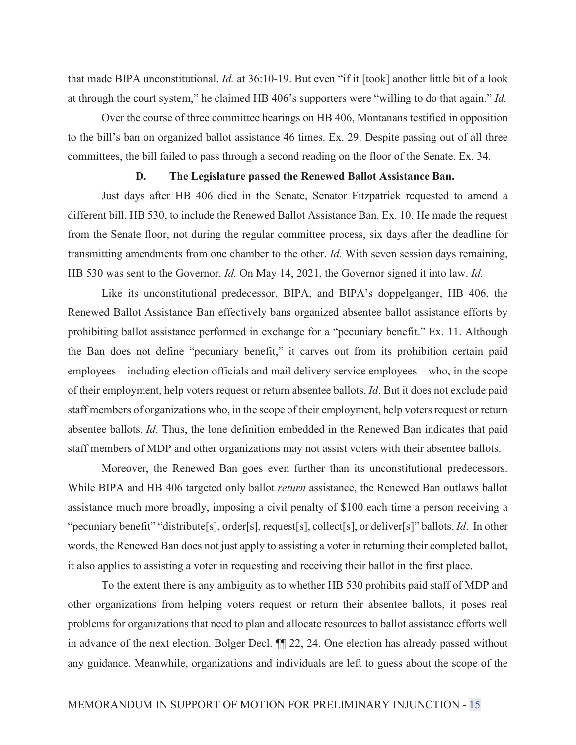that made BIPA unconstitutional. *Id.* at 36:10-19. But even "if it [took] another little bit of a look at through the court system," he claimed HB 406's supporters were "willing to do that again." *Id.*

 Over the course of three committee hearings on HB 406, Montanans testified in opposition to the bill's ban on organized ballot assistance 46 times. Ex. 29. Despite passing out of all three committees, the bill failed to pass through a second reading on the floor of the Senate. Ex. 34.

## **D. The Legislature passed the Renewed Ballot Assistance Ban.**

 Just days after HB 406 died in the Senate, Senator Fitzpatrick requested to amend a different bill, HB 530, to include the Renewed Ballot Assistance Ban. Ex. 10. He made the request from the Senate floor, not during the regular committee process, six days after the deadline for transmitting amendments from one chamber to the other. *Id.* With seven session days remaining, HB 530 was sent to the Governor. *Id.* On May 14, 2021, the Governor signed it into law. *Id.*

 Like its unconstitutional predecessor, BIPA, and BIPA's doppelganger, HB 406, the Renewed Ballot Assistance Ban effectively bans organized absentee ballot assistance efforts by prohibiting ballot assistance performed in exchange for a "pecuniary benefit." Ex. 11. Although the Ban does not define "pecuniary benefit," it carves out from its prohibition certain paid employees—including election officials and mail delivery service employees—who, in the scope of their employment, help voters request or return absentee ballots. *Id*. But it does not exclude paid staff members of organizations who, in the scope of their employment, help voters request or return absentee ballots. *Id*. Thus, the lone definition embedded in the Renewed Ban indicates that paid staff members of MDP and other organizations may not assist voters with their absentee ballots.

 Moreover, the Renewed Ban goes even further than its unconstitutional predecessors. While BIPA and HB 406 targeted only ballot *return* assistance, the Renewed Ban outlaws ballot assistance much more broadly, imposing a civil penalty of \$100 each time a person receiving a "pecuniary benefit" "distribute[s], order[s], request[s], collect[s], or deliver[s]" ballots. *Id*. In other words, the Renewed Ban does not just apply to assisting a voter in returning their completed ballot, it also applies to assisting a voter in requesting and receiving their ballot in the first place.

 To the extent there is any ambiguity as to whether HB 530 prohibits paid staff of MDP and other organizations from helping voters request or return their absentee ballots, it poses real problems for organizations that need to plan and allocate resources to ballot assistance efforts well in advance of the next election. Bolger Decl. ¶¶ 22, 24. One election has already passed without any guidance. Meanwhile, organizations and individuals are left to guess about the scope of the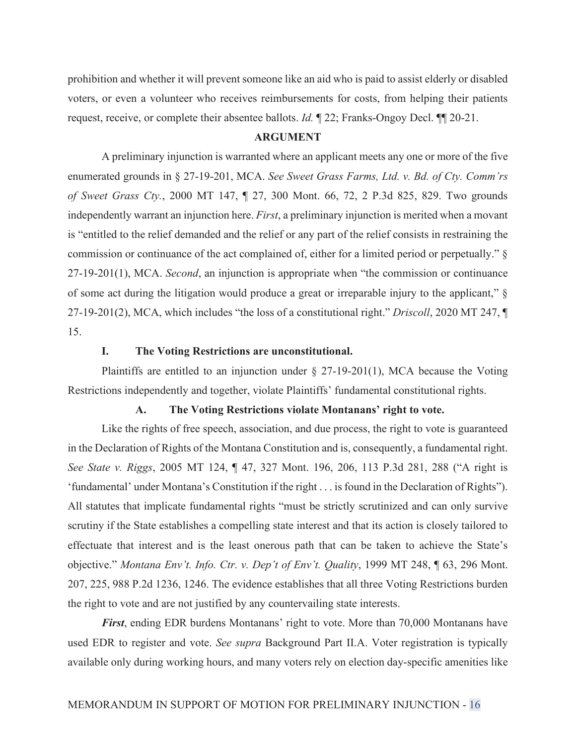prohibition and whether it will prevent someone like an aid who is paid to assist elderly or disabled voters, or even a volunteer who receives reimbursements for costs, from helping their patients request, receive, or complete their absentee ballots. *Id.* ¶ 22; Franks-Ongoy Decl. ¶¶ 20-21.

## **ARGUMENT**

 A preliminary injunction is warranted where an applicant meets any one or more of the five enumerated grounds in § 27-19-201, MCA. *See Sweet Grass Farms, Ltd. v. Bd. of Cty. Comm'rs of Sweet Grass Cty.*, 2000 MT 147, ¶ 27, 300 Mont. 66, 72, 2 P.3d 825, 829. Two grounds independently warrant an injunction here. *First*, a preliminary injunction is merited when a movant is "entitled to the relief demanded and the relief or any part of the relief consists in restraining the commission or continuance of the act complained of, either for a limited period or perpetually." § 27-19-201(1), MCA. *Second*, an injunction is appropriate when "the commission or continuance of some act during the litigation would produce a great or irreparable injury to the applicant," § 27-19-201(2), MCA, which includes "the loss of a constitutional right." *Driscoll*, 2020 MT 247, ¶ 15.

# **I. The Voting Restrictions are unconstitutional.**

Plaintiffs are entitled to an injunction under  $\S 27-19-201(1)$ , MCA because the Voting Restrictions independently and together, violate Plaintiffs' fundamental constitutional rights.

## **A. The Voting Restrictions violate Montanans' right to vote.**

 Like the rights of free speech, association, and due process, the right to vote is guaranteed in the Declaration of Rights of the Montana Constitution and is, consequently, a fundamental right. *See State v. Riggs*, 2005 MT 124, ¶ 47, 327 Mont. 196, 206, 113 P.3d 281, 288 ("A right is 'fundamental' under Montana's Constitution if the right . . . is found in the Declaration of Rights"). All statutes that implicate fundamental rights "must be strictly scrutinized and can only survive scrutiny if the State establishes a compelling state interest and that its action is closely tailored to effectuate that interest and is the least onerous path that can be taken to achieve the State's objective." *Montana Env't. Info. Ctr. v. Dep't of Env't. Quality*, 1999 MT 248, ¶ 63, 296 Mont. 207, 225, 988 P.2d 1236, 1246. The evidence establishes that all three Voting Restrictions burden the right to vote and are not justified by any countervailing state interests.

*First*, ending EDR burdens Montanans' right to vote. More than 70,000 Montanans have used EDR to register and vote. *See supra* Background Part II.A. Voter registration is typically available only during working hours, and many voters rely on election day-specific amenities like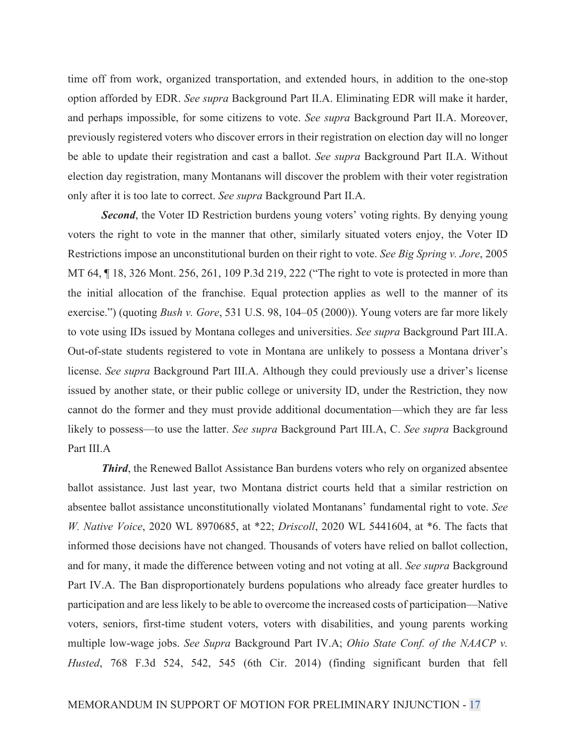time off from work, organized transportation, and extended hours, in addition to the one-stop option afforded by EDR. *See supra* Background Part II.A. Eliminating EDR will make it harder, and perhaps impossible, for some citizens to vote. *See supra* Background Part II.A. Moreover, previously registered voters who discover errors in their registration on election day will no longer be able to update their registration and cast a ballot. *See supra* Background Part II.A. Without election day registration, many Montanans will discover the problem with their voter registration only after it is too late to correct. *See supra* Background Part II.A.

*Second*, the Voter ID Restriction burdens young voters' voting rights. By denying young voters the right to vote in the manner that other, similarly situated voters enjoy, the Voter ID Restrictions impose an unconstitutional burden on their right to vote. *See Big Spring v. Jore*, 2005 MT 64, ¶ 18, 326 Mont. 256, 261, 109 P.3d 219, 222 ("The right to vote is protected in more than the initial allocation of the franchise. Equal protection applies as well to the manner of its exercise.") (quoting *Bush v. Gore*, 531 U.S. 98, 104–05 (2000)). Young voters are far more likely to vote using IDs issued by Montana colleges and universities. *See supra* Background Part III.A. Out-of-state students registered to vote in Montana are unlikely to possess a Montana driver's license. *See supra* Background Part III.A. Although they could previously use a driver's license issued by another state, or their public college or university ID, under the Restriction, they now cannot do the former and they must provide additional documentation—which they are far less likely to possess—to use the latter. *See supra* Background Part III.A, C. *See supra* Background Part III.A

*Third*, the Renewed Ballot Assistance Ban burdens voters who rely on organized absentee ballot assistance. Just last year, two Montana district courts held that a similar restriction on absentee ballot assistance unconstitutionally violated Montanans' fundamental right to vote. *See W. Native Voice*, 2020 WL 8970685, at \*22; *Driscoll*, 2020 WL 5441604, at \*6. The facts that informed those decisions have not changed. Thousands of voters have relied on ballot collection, and for many, it made the difference between voting and not voting at all. *See supra* Background Part IV.A. The Ban disproportionately burdens populations who already face greater hurdles to participation and are less likely to be able to overcome the increased costs of participation—Native voters, seniors, first-time student voters, voters with disabilities, and young parents working multiple low-wage jobs. *See Supra* Background Part IV.A; *Ohio State Conf. of the NAACP v. Husted*, 768 F.3d 524, 542, 545 (6th Cir. 2014) (finding significant burden that fell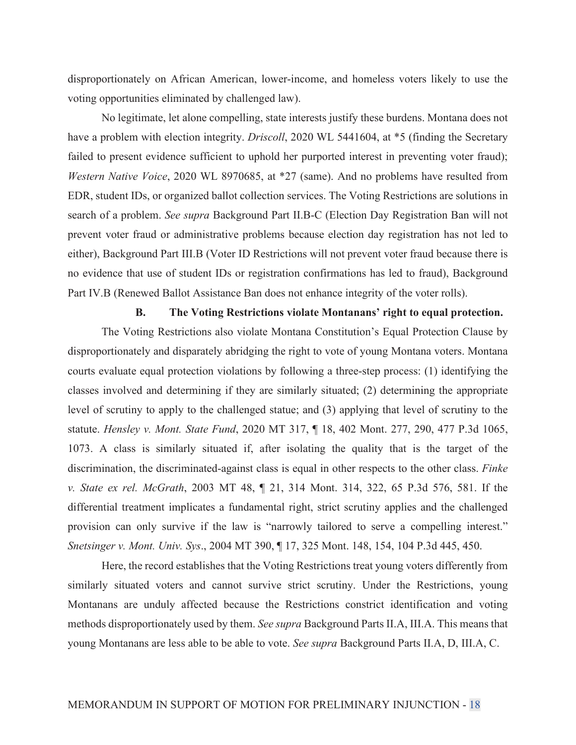disproportionately on African American, lower-income, and homeless voters likely to use the voting opportunities eliminated by challenged law).

 No legitimate, let alone compelling, state interests justify these burdens. Montana does not have a problem with election integrity. *Driscoll*, 2020 WL 5441604, at \*5 (finding the Secretary failed to present evidence sufficient to uphold her purported interest in preventing voter fraud); *Western Native Voice*, 2020 WL 8970685, at \*27 (same). And no problems have resulted from EDR, student IDs, or organized ballot collection services. The Voting Restrictions are solutions in search of a problem. *See supra* Background Part II.B-C (Election Day Registration Ban will not prevent voter fraud or administrative problems because election day registration has not led to either), Background Part III.B (Voter ID Restrictions will not prevent voter fraud because there is no evidence that use of student IDs or registration confirmations has led to fraud), Background Part IV.B (Renewed Ballot Assistance Ban does not enhance integrity of the voter rolls).

## **B. The Voting Restrictions violate Montanans' right to equal protection.**

 The Voting Restrictions also violate Montana Constitution's Equal Protection Clause by disproportionately and disparately abridging the right to vote of young Montana voters. Montana courts evaluate equal protection violations by following a three-step process: (1) identifying the classes involved and determining if they are similarly situated; (2) determining the appropriate level of scrutiny to apply to the challenged statue; and (3) applying that level of scrutiny to the statute. *Hensley v. Mont. State Fund*, 2020 MT 317, ¶ 18, 402 Mont. 277, 290, 477 P.3d 1065, 1073. A class is similarly situated if, after isolating the quality that is the target of the discrimination, the discriminated-against class is equal in other respects to the other class. *Finke v. State ex rel. McGrath*, 2003 MT 48, ¶ 21, 314 Mont. 314, 322, 65 P.3d 576, 581. If the differential treatment implicates a fundamental right, strict scrutiny applies and the challenged provision can only survive if the law is "narrowly tailored to serve a compelling interest." *Snetsinger v. Mont. Univ. Sys*., 2004 MT 390, ¶ 17, 325 Mont. 148, 154, 104 P.3d 445, 450.

 Here, the record establishes that the Voting Restrictions treat young voters differently from similarly situated voters and cannot survive strict scrutiny. Under the Restrictions, young Montanans are unduly affected because the Restrictions constrict identification and voting methods disproportionately used by them. *See supra* Background Parts II.A, III.A. This means that young Montanans are less able to be able to vote. *See supra* Background Parts II.A, D, III.A, C.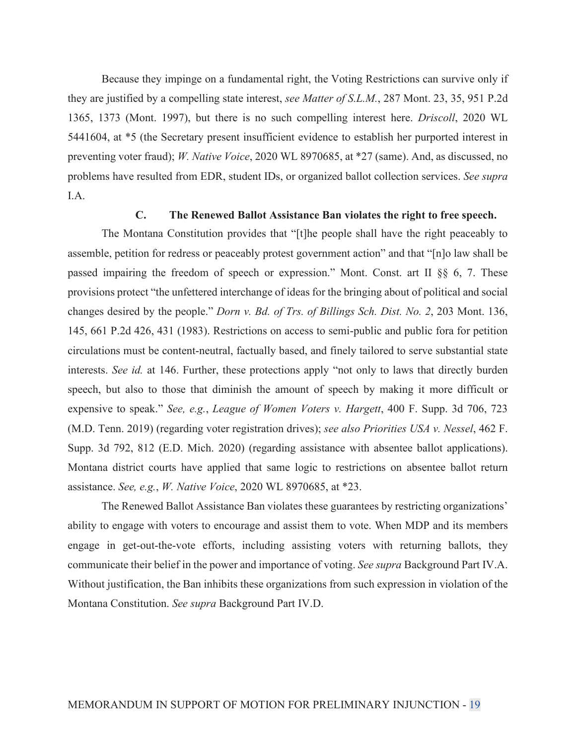Because they impinge on a fundamental right, the Voting Restrictions can survive only if they are justified by a compelling state interest, *see Matter of S.L.M.*, 287 Mont. 23, 35, 951 P.2d 1365, 1373 (Mont. 1997), but there is no such compelling interest here. *Driscoll*, 2020 WL 5441604, at \*5 (the Secretary present insufficient evidence to establish her purported interest in preventing voter fraud); *W. Native Voice*, 2020 WL 8970685, at \*27 (same). And, as discussed, no problems have resulted from EDR, student IDs, or organized ballot collection services. *See supra* I.A.

# **C. The Renewed Ballot Assistance Ban violates the right to free speech.**

 The Montana Constitution provides that "[t]he people shall have the right peaceably to assemble, petition for redress or peaceably protest government action" and that "[n]o law shall be passed impairing the freedom of speech or expression." Mont. Const. art II §§ 6, 7. These provisions protect "the unfettered interchange of ideas for the bringing about of political and social changes desired by the people." *Dorn v. Bd. of Trs. of Billings Sch. Dist. No. 2*, 203 Mont. 136, 145, 661 P.2d 426, 431 (1983). Restrictions on access to semi-public and public fora for petition circulations must be content-neutral, factually based, and finely tailored to serve substantial state interests. *See id.* at 146. Further, these protections apply "not only to laws that directly burden speech, but also to those that diminish the amount of speech by making it more difficult or expensive to speak." *See, e.g.*, *League of Women Voters v. Hargett*, 400 F. Supp. 3d 706, 723 (M.D. Tenn. 2019) (regarding voter registration drives); *see also Priorities USA v. Nessel*, 462 F. Supp. 3d 792, 812 (E.D. Mich. 2020) (regarding assistance with absentee ballot applications). Montana district courts have applied that same logic to restrictions on absentee ballot return assistance. *See, e.g.*, *W. Native Voice*, 2020 WL 8970685, at \*23.

 The Renewed Ballot Assistance Ban violates these guarantees by restricting organizations' ability to engage with voters to encourage and assist them to vote. When MDP and its members engage in get-out-the-vote efforts, including assisting voters with returning ballots, they communicate their belief in the power and importance of voting. *See supra* Background Part IV.A. Without justification, the Ban inhibits these organizations from such expression in violation of the Montana Constitution. *See supra* Background Part IV.D.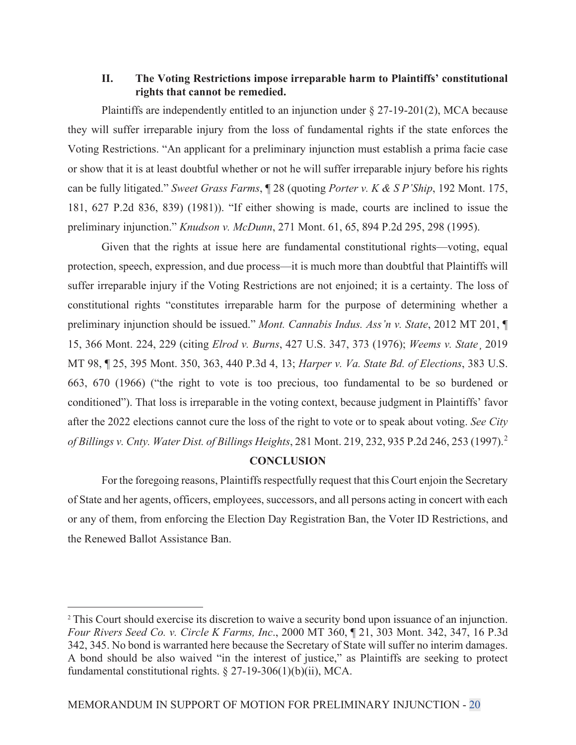# **II. The Voting Restrictions impose irreparable harm to Plaintiffs' constitutional rights that cannot be remedied.**

 Plaintiffs are independently entitled to an injunction under § 27-19-201(2), MCA because they will suffer irreparable injury from the loss of fundamental rights if the state enforces the Voting Restrictions. "An applicant for a preliminary injunction must establish a prima facie case or show that it is at least doubtful whether or not he will suffer irreparable injury before his rights can be fully litigated." *Sweet Grass Farms*, ¶ 28 (quoting *Porter v. K & S P'Ship*, 192 Mont. 175, 181, 627 P.2d 836, 839) (1981)). "If either showing is made, courts are inclined to issue the preliminary injunction." *Knudson v. McDunn*, 271 Mont. 61, 65, 894 P.2d 295, 298 (1995).

 Given that the rights at issue here are fundamental constitutional rights—voting, equal protection, speech, expression, and due process—it is much more than doubtful that Plaintiffs will suffer irreparable injury if the Voting Restrictions are not enjoined; it is a certainty. The loss of constitutional rights "constitutes irreparable harm for the purpose of determining whether a preliminary injunction should be issued." *Mont. Cannabis Indus. Ass'n v. State*, 2012 MT 201, ¶ 15, 366 Mont. 224, 229 (citing *Elrod v. Burns*, 427 U.S. 347, 373 (1976); *Weems v. State*¸ 2019 MT 98, ¶ 25, 395 Mont. 350, 363, 440 P.3d 4, 13; *Harper v. Va. State Bd. of Elections*, 383 U.S. 663, 670 (1966) ("the right to vote is too precious, too fundamental to be so burdened or conditioned"). That loss is irreparable in the voting context, because judgment in Plaintiffs' favor after the 2022 elections cannot cure the loss of the right to vote or to speak about voting. *See City of Billings v. Cnty. Water Dist. of Billings Heights*, 281 Mont. 219, 232, 935 P.2d 246, 253 (1997).<sup>2</sup>

# **CONCLUSION**

 For the foregoing reasons, Plaintiffs respectfully request that this Court enjoin the Secretary of State and her agents, officers, employees, successors, and all persons acting in concert with each or any of them, from enforcing the Election Day Registration Ban, the Voter ID Restrictions, and the Renewed Ballot Assistance Ban.

<sup>&</sup>lt;sup>2</sup> This Court should exercise its discretion to waive a security bond upon issuance of an injunction. *Four Rivers Seed Co. v. Circle K Farms, Inc*., 2000 MT 360, ¶ 21, 303 Mont. 342, 347, 16 P.3d 342, 345. No bond is warranted here because the Secretary of State will suffer no interim damages. A bond should be also waived "in the interest of justice," as Plaintiffs are seeking to protect fundamental constitutional rights. § 27-19-306(1)(b)(ii), MCA.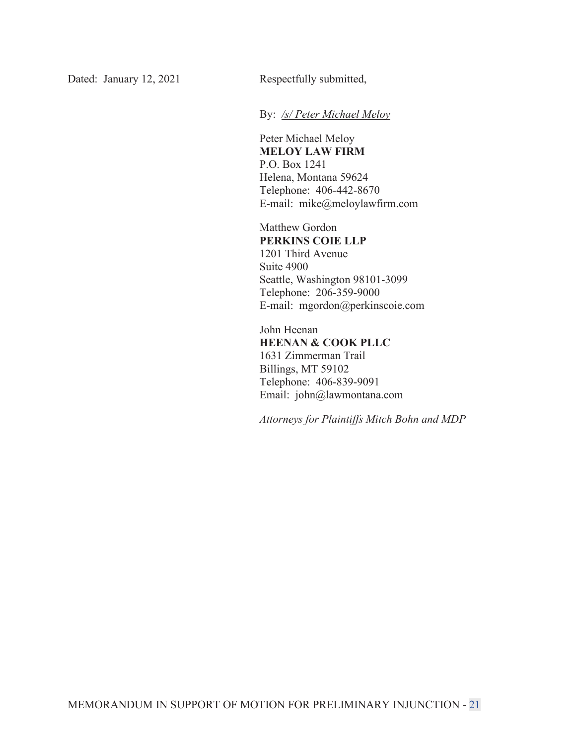Dated: January 12, 2021 Respectfully submitted,

By: */s/ Peter Michael Meloy*

Peter Michael Meloy **MELOY LAW FIRM**  P.O. Box 1241 Helena, Montana 59624 Telephone: 406-442-8670 E-mail: mike@meloylawfirm.com

Matthew Gordon **PERKINS COIE LLP** 1201 Third Avenue Suite 4900 Seattle, Washington 98101-3099 Telephone: 206-359-9000 E-mail: mgordon@perkinscoie.com

John Heenan **HEENAN & COOK PLLC** 1631 Zimmerman Trail Billings, MT 59102 Telephone: 406-839-9091 Email: john@lawmontana.com

*Attorneys for Plaintiffs Mitch Bohn and MDP*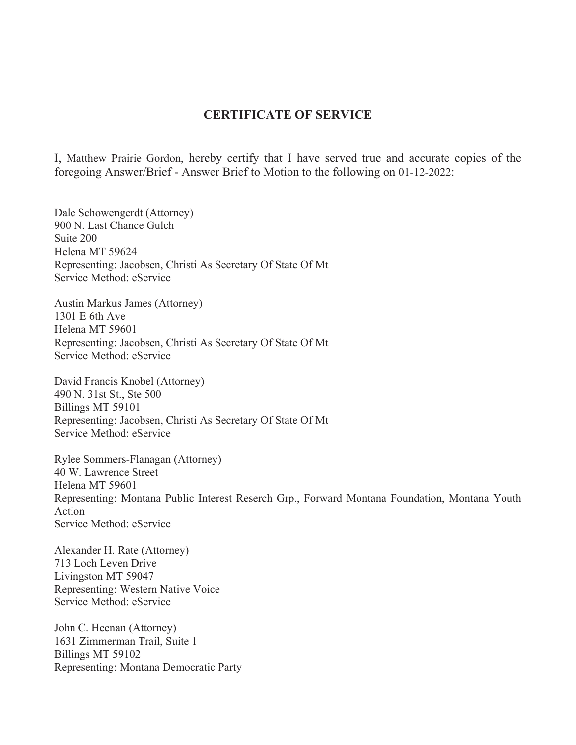# **CERTIFICATE OF SERVICE**

I, Matthew Prairie Gordon, hereby certify that I have served true and accurate copies of the foregoing Answer/Brief - Answer Brief to Motion to the following on 01-12-2022:

Dale Schowengerdt (Attorney) 900 N. Last Chance Gulch Suite 200 Helena MT 59624 Representing: Jacobsen, Christi As Secretary Of State Of Mt Service Method: eService

Austin Markus James (Attorney) 1301 E 6th Ave Helena MT 59601 Representing: Jacobsen, Christi As Secretary Of State Of Mt Service Method: eService

David Francis Knobel (Attorney) 490 N. 31st St., Ste 500 Billings MT 59101 Representing: Jacobsen, Christi As Secretary Of State Of Mt Service Method: eService

Rylee Sommers-Flanagan (Attorney) 40 W. Lawrence Street Helena MT 59601 Representing: Montana Public Interest Reserch Grp., Forward Montana Foundation, Montana Youth Action Service Method: eService

Alexander H. Rate (Attorney) 713 Loch Leven Drive Livingston MT 59047 Representing: Western Native Voice Service Method: eService

John C. Heenan (Attorney) 1631 Zimmerman Trail, Suite 1 Billings MT 59102 Representing: Montana Democratic Party